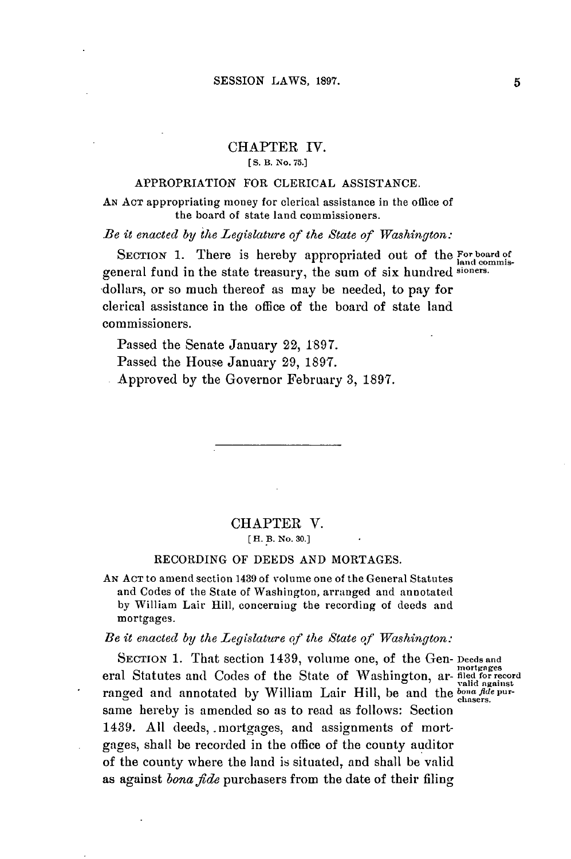# CHAPTER IV.

**[ S. B. No. 75.]**

### APPROPRIATION FOR CLERICAL **ASSISTANCE.**

**AN ACT** appropriating money for clerical assistance in the office of the board of state land commissioners.

*Be it enacted by the Legislature of the State of Washington:*

SECTION 1. There is hereby appropriated out of the **For board of** general fund in the state treasury, the sum of six hundred **sioners.** dollars, or so much thereof as may be needed, to **pay** for clerical assistance in the office of the board of state land commissioners.

Passed the Senate January 22, **1897.**

Passed the House January **29, 1897.**

Approved **by** the Governor February **3, 1897.**

## CHAPTER V. **[H. B. No. 30.]**

#### RECORDING OF **DEEDS AND** MORTAGES.

**AN ACT** to amend section 1439 of volume one of the General Statutes and Codes of the State of Washington, arranged and annotated **by** William Lair Hill, concerning the recording of deeds and mortgages.

*Be it enacted by the Legislature of the State of Washington:*

**SECTION 1.** That section 1439, volume one, of the Gen- **Deeds and** eral Statutes and Codes of the State of Washington, ar- filed for record ranged and annotated by William Lair Hill, be and the bona *fide pur-* ranged and annotated by William Lair Hill, be and the *bona fide pur*same hereby is amended so as to read as follows: Section 1439. **All** deeds, .mortgages, and assignments of mortgages, shall be recorded in the office of the county auditor of the county where the land is situated, and shall be valid as against *bona fide* purchasers from the date of their filing